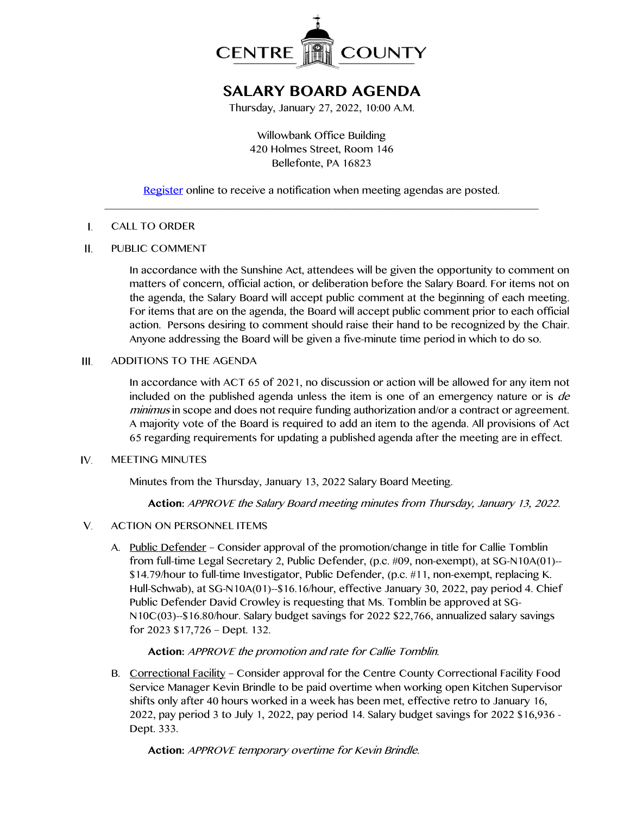

# **SALARY BOARD AGENDA**

Thursday, January 27, 2022, 10:00 A.M.

Willowbank Office Building 420 Holmes Street, Room 146 Bellefonte, PA 16823

## [Register](http://www.centrecountypa.gov/AgendaCenter) online to receive a notification when meeting agendas are posted. \_\_\_\_\_\_\_\_\_\_\_\_\_\_\_\_\_\_\_\_\_\_\_\_\_\_\_\_\_\_\_\_\_\_\_\_\_\_\_\_\_\_\_\_\_\_\_\_\_\_\_\_\_\_\_\_\_\_\_\_\_\_\_\_\_\_\_\_\_\_\_\_\_\_\_\_\_\_

#### $\mathbf{I}$ . CALL TO ORDER

#### $II.$ PUBLIC COMMENT

In accordance with the Sunshine Act, attendees will be given the opportunity to comment on matters of concern, official action, or deliberation before the Salary Board. For items not on the agenda, the Salary Board will accept public comment at the beginning of each meeting. For items that are on the agenda, the Board will accept public comment prior to each official action. Persons desiring to comment should raise their hand to be recognized by the Chair. Anyone addressing the Board will be given a five-minute time period in which to do so.

#### ADDITIONS TO THE AGENDA  $III.$

In accordance with ACT 65 of 2021, no discussion or action will be allowed for any item not included on the published agenda unless the item is one of an emergency nature or is *de* minimus in scope and does not require funding authorization and/or a contract or agreement. A majority vote of the Board is required to add an item to the agenda. All provisions of Act 65 regarding requirements for updating a published agenda after the meeting are in effect.

#### IV. MEETING MINUTES

Minutes from the Thursday, January 13, 2022 Salary Board Meeting.

**Action:** APPROVE the Salary Board meeting minutes from Thursday, January 13, 2022.

- V. ACTION ON PERSONNEL ITEMS
	- A. Public Defender Consider approval of the promotion/change in title for Callie Tomblin from full-time Legal Secretary 2, Public Defender, (p.c. #09, non-exempt), at SG-N10A(01)-- \$14.79/hour to full-time Investigator, Public Defender, (p.c. #11, non-exempt, replacing K. Hull-Schwab), at SG-N10A(01)--\$16.16/hour, effective January 30, 2022, pay period 4. Chief Public Defender David Crowley is requesting that Ms. Tomblin be approved at SG-N10C(03)--\$16.80/hour. Salary budget savings for 2022 \$22,766, annualized salary savings for 2023 \$17,726 – Dept. 132.

### **Action:** APPROVE the promotion and rate for Callie Tomblin.

B. Correctional Facility – Consider approval for the Centre County Correctional Facility Food Service Manager Kevin Brindle to be paid overtime when working open Kitchen Supervisor shifts only after 40 hours worked in a week has been met, effective retro to January 16, 2022, pay period 3 to July 1, 2022, pay period 14. Salary budget savings for 2022 \$16,936 - Dept. 333.

**Action:** APPROVE temporary overtime for Kevin Brindle.